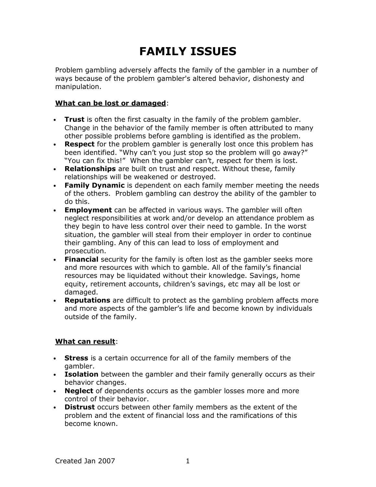# FAMILY ISSUES

Problem gambling adversely affects the family of the gambler in a number of ways because of the problem gambler's altered behavior, dishonesty and manipulation.

### What can be lost or damaged:

- Trust is often the first casualty in the family of the problem gambler. Change in the behavior of the family member is often attributed to many other possible problems before gambling is identified as the problem.
- Respect for the problem gambler is generally lost once this problem has been identified. "Why can't you just stop so the problem will go away?" "You can fix this!" When the gambler can't, respect for them is lost.
- Relationships are built on trust and respect. Without these, family relationships will be weakened or destroyed.
- Family Dynamic is dependent on each family member meeting the needs of the others. Problem gambling can destroy the ability of the gambler to do this.
- Employment can be affected in various ways. The gambler will often neglect responsibilities at work and/or develop an attendance problem as they begin to have less control over their need to gamble. In the worst situation, the gambler will steal from their employer in order to continue their gambling. Any of this can lead to loss of employment and prosecution.
- Financial security for the family is often lost as the gambler seeks more and more resources with which to gamble. All of the family's financial resources may be liquidated without their knowledge. Savings, home equity, retirement accounts, children's savings, etc may all be lost or damaged.
- Reputations are difficult to protect as the gambling problem affects more and more aspects of the gambler's life and become known by individuals outside of the family.

#### What can result:

- Stress is a certain occurrence for all of the family members of the gambler.
- Isolation between the gambler and their family generally occurs as their behavior changes.
- Neglect of dependents occurs as the gambler losses more and more control of their behavior.
- Distrust occurs between other family members as the extent of the problem and the extent of financial loss and the ramifications of this become known.